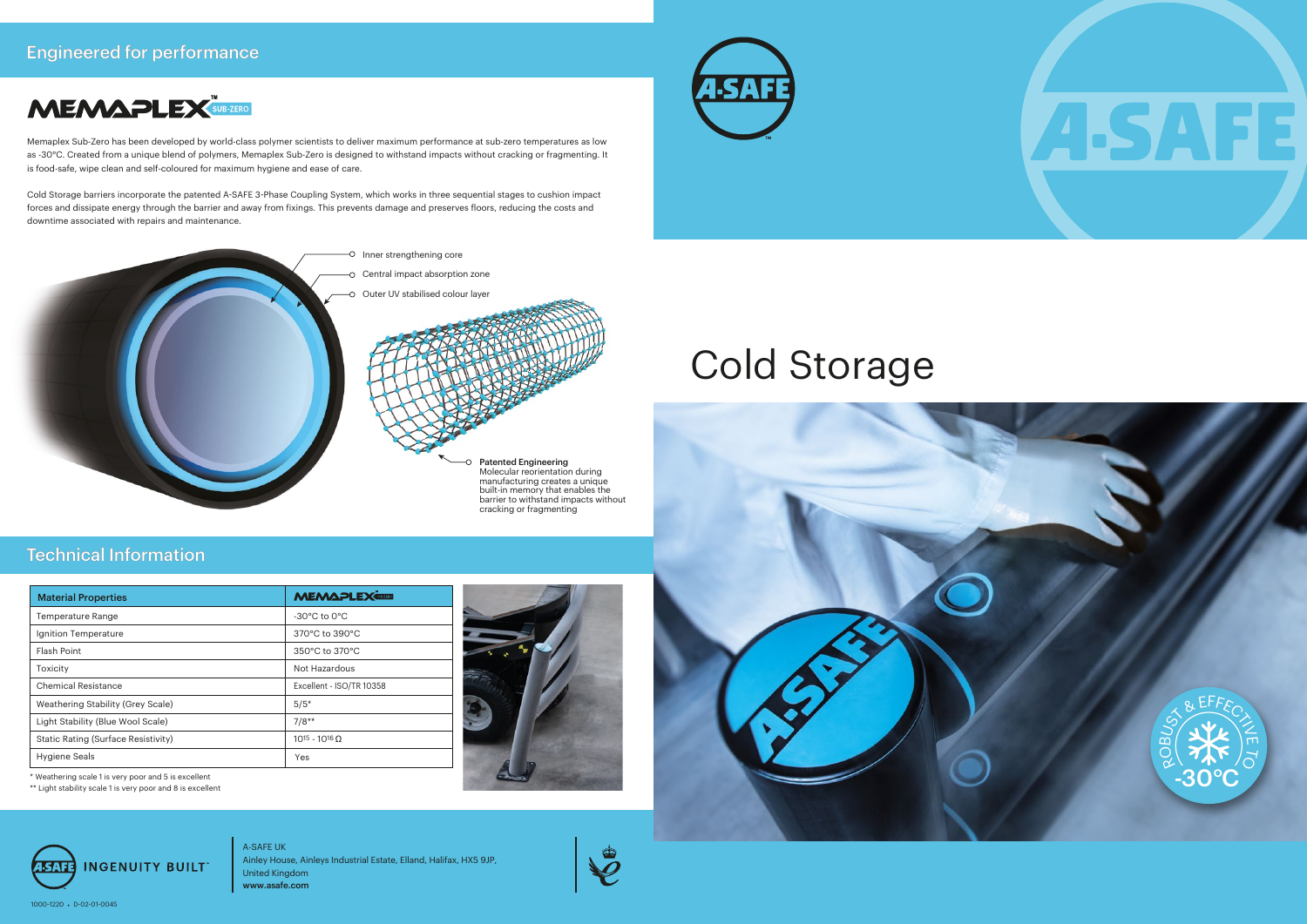# Cold Storage



\*\* Light stability scale 1 is very poor and 8 is excellent

| <b>Material Properties</b>                 | <b>MEMAPLEX</b>                  |
|--------------------------------------------|----------------------------------|
| <b>Temperature Range</b>                   | $-30^{\circ}$ C to $0^{\circ}$ C |
| Ignition Temperature                       | 370°C to 390°C                   |
| <b>Flash Point</b>                         | 350°C to 370°C                   |
| Toxicity                                   | Not Hazardous                    |
| <b>Chemical Resistance</b>                 | Excellent - ISO/TR 10358         |
| Weathering Stability (Grey Scale)          | $5/5*$                           |
| Light Stability (Blue Wool Scale)          | $7/8**$                          |
| <b>Static Rating (Surface Resistivity)</b> | $10^{15} - 10^{16}$ O            |
| <b>Hygiene Seals</b>                       | Yes                              |





## Engineered for performance



## Technical Information



Memaplex Sub-Zero has been developed by world-class polymer scientists to deliver maximum performance at sub-zero temperatures as low as -30°C. Created from a unique blend of polymers, Memaplex Sub-Zero is designed to withstand impacts without cracking or fragmenting. It is food-safe, wipe clean and self-coloured for maximum hygiene and ease of care.

Cold Storage barriers incorporate the patented A-SAFE 3-Phase Coupling System, which works in three sequential stages to cushion impact forces and dissipate energy through the barrier and away from fixings. This prevents damage and preserves floors, reducing the costs and downtime associated with repairs and maintenance.



A-SAFE UK Ainley House, Ainleys Industrial Estate, Elland, Halifax, HX5 9JP, United Kingdom www.asafe.com